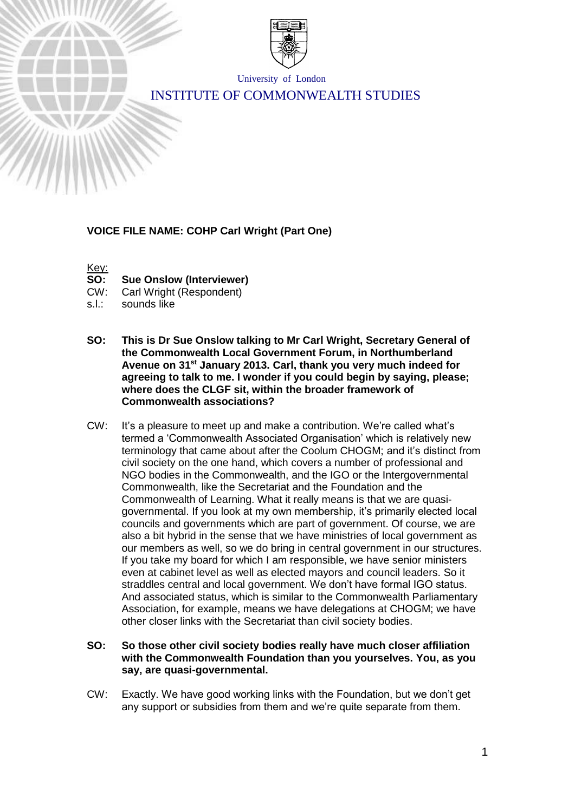

University of London

# INSTITUTE OF COMMONWEALTH STUDIES

# **VOICE FILE NAME: COHP Carl Wright (Part One)**

Key:

**SO: Sue Onslow (Interviewer)**

CW: Carl Wright (Respondent)

- s.l.: sounds like
- **SO: This is Dr Sue Onslow talking to Mr Carl Wright, Secretary General of the Commonwealth Local Government Forum, in Northumberland Avenue on 31st January 2013. Carl, thank you very much indeed for agreeing to talk to me. I wonder if you could begin by saying, please; where does the CLGF sit, within the broader framework of Commonwealth associations?**
- CW: It's a pleasure to meet up and make a contribution. We're called what's termed a 'Commonwealth Associated Organisation' which is relatively new terminology that came about after the Coolum CHOGM; and it's distinct from civil society on the one hand, which covers a number of professional and NGO bodies in the Commonwealth, and the IGO or the Intergovernmental Commonwealth, like the Secretariat and the Foundation and the Commonwealth of Learning. What it really means is that we are quasigovernmental. If you look at my own membership, it's primarily elected local councils and governments which are part of government. Of course, we are also a bit hybrid in the sense that we have ministries of local government as our members as well, so we do bring in central government in our structures. If you take my board for which I am responsible, we have senior ministers even at cabinet level as well as elected mayors and council leaders. So it straddles central and local government. We don't have formal IGO status. And associated status, which is similar to the Commonwealth Parliamentary Association, for example, means we have delegations at CHOGM; we have other closer links with the Secretariat than civil society bodies.
- **SO: So those other civil society bodies really have much closer affiliation with the Commonwealth Foundation than you yourselves. You, as you say, are quasi-governmental.**
- CW: Exactly. We have good working links with the Foundation, but we don't get any support or subsidies from them and we're quite separate from them.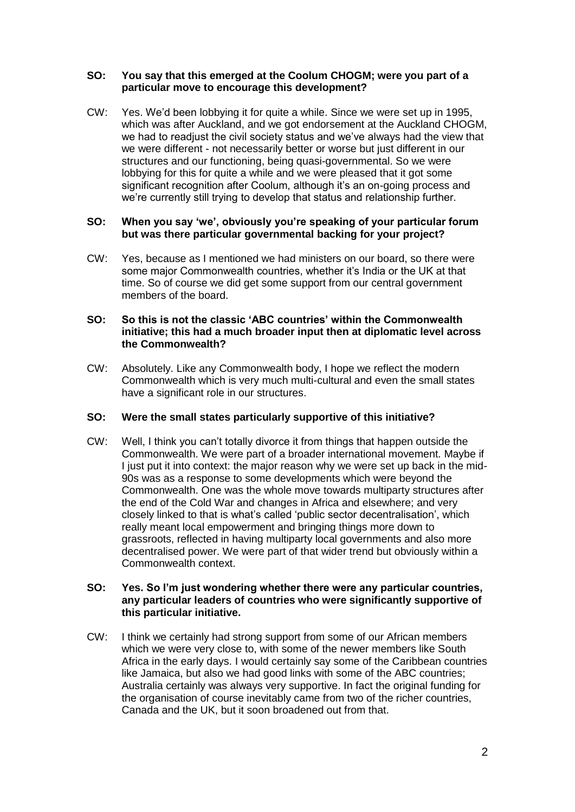# **SO: You say that this emerged at the Coolum CHOGM; were you part of a particular move to encourage this development?**

CW: Yes. We'd been lobbying it for quite a while. Since we were set up in 1995, which was after Auckland, and we got endorsement at the Auckland CHOGM, we had to readjust the civil society status and we've always had the view that we were different - not necessarily better or worse but just different in our structures and our functioning, being quasi-governmental. So we were lobbying for this for quite a while and we were pleased that it got some significant recognition after Coolum, although it's an on-going process and we're currently still trying to develop that status and relationship further.

# **SO: When you say 'we', obviously you're speaking of your particular forum but was there particular governmental backing for your project?**

CW: Yes, because as I mentioned we had ministers on our board, so there were some major Commonwealth countries, whether it's India or the UK at that time. So of course we did get some support from our central government members of the board.

# **SO: So this is not the classic 'ABC countries' within the Commonwealth initiative; this had a much broader input then at diplomatic level across the Commonwealth?**

CW: Absolutely. Like any Commonwealth body, I hope we reflect the modern Commonwealth which is very much multi-cultural and even the small states have a significant role in our structures.

# **SO: Were the small states particularly supportive of this initiative?**

CW: Well, I think you can't totally divorce it from things that happen outside the Commonwealth. We were part of a broader international movement. Maybe if I just put it into context: the major reason why we were set up back in the mid-90s was as a response to some developments which were beyond the Commonwealth. One was the whole move towards multiparty structures after the end of the Cold War and changes in Africa and elsewhere; and very closely linked to that is what's called 'public sector decentralisation', which really meant local empowerment and bringing things more down to grassroots, reflected in having multiparty local governments and also more decentralised power. We were part of that wider trend but obviously within a Commonwealth context.

### **SO: Yes. So I'm just wondering whether there were any particular countries, any particular leaders of countries who were significantly supportive of this particular initiative.**

CW: I think we certainly had strong support from some of our African members which we were very close to, with some of the newer members like South Africa in the early days. I would certainly say some of the Caribbean countries like Jamaica, but also we had good links with some of the ABC countries; Australia certainly was always very supportive. In fact the original funding for the organisation of course inevitably came from two of the richer countries, Canada and the UK, but it soon broadened out from that.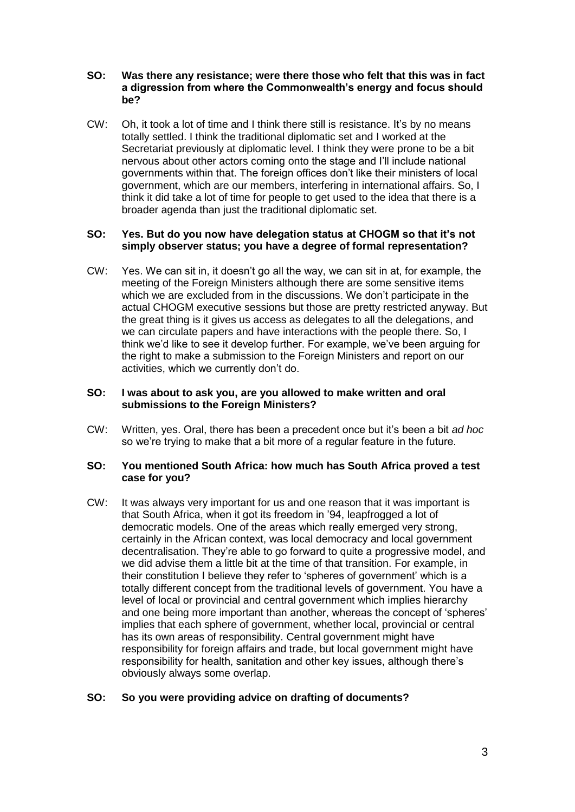# **SO: Was there any resistance; were there those who felt that this was in fact a digression from where the Commonwealth's energy and focus should be?**

CW: Oh, it took a lot of time and I think there still is resistance. It's by no means totally settled. I think the traditional diplomatic set and I worked at the Secretariat previously at diplomatic level. I think they were prone to be a bit nervous about other actors coming onto the stage and I'll include national governments within that. The foreign offices don't like their ministers of local government, which are our members, interfering in international affairs. So, I think it did take a lot of time for people to get used to the idea that there is a broader agenda than just the traditional diplomatic set.

# **SO: Yes. But do you now have delegation status at CHOGM so that it's not simply observer status; you have a degree of formal representation?**

CW: Yes. We can sit in, it doesn't go all the way, we can sit in at, for example, the meeting of the Foreign Ministers although there are some sensitive items which we are excluded from in the discussions. We don't participate in the actual CHOGM executive sessions but those are pretty restricted anyway. But the great thing is it gives us access as delegates to all the delegations, and we can circulate papers and have interactions with the people there. So, I think we'd like to see it develop further. For example, we've been arguing for the right to make a submission to the Foreign Ministers and report on our activities, which we currently don't do.

# **SO: I was about to ask you, are you allowed to make written and oral submissions to the Foreign Ministers?**

CW: Written, yes. Oral, there has been a precedent once but it's been a bit *ad hoc* so we're trying to make that a bit more of a regular feature in the future.

# **SO: You mentioned South Africa: how much has South Africa proved a test case for you?**

CW: It was always very important for us and one reason that it was important is that South Africa, when it got its freedom in '94, leapfrogged a lot of democratic models. One of the areas which really emerged very strong, certainly in the African context, was local democracy and local government decentralisation. They're able to go forward to quite a progressive model, and we did advise them a little bit at the time of that transition. For example, in their constitution I believe they refer to 'spheres of government' which is a totally different concept from the traditional levels of government. You have a level of local or provincial and central government which implies hierarchy and one being more important than another, whereas the concept of 'spheres' implies that each sphere of government, whether local, provincial or central has its own areas of responsibility. Central government might have responsibility for foreign affairs and trade, but local government might have responsibility for health, sanitation and other key issues, although there's obviously always some overlap.

# **SO: So you were providing advice on drafting of documents?**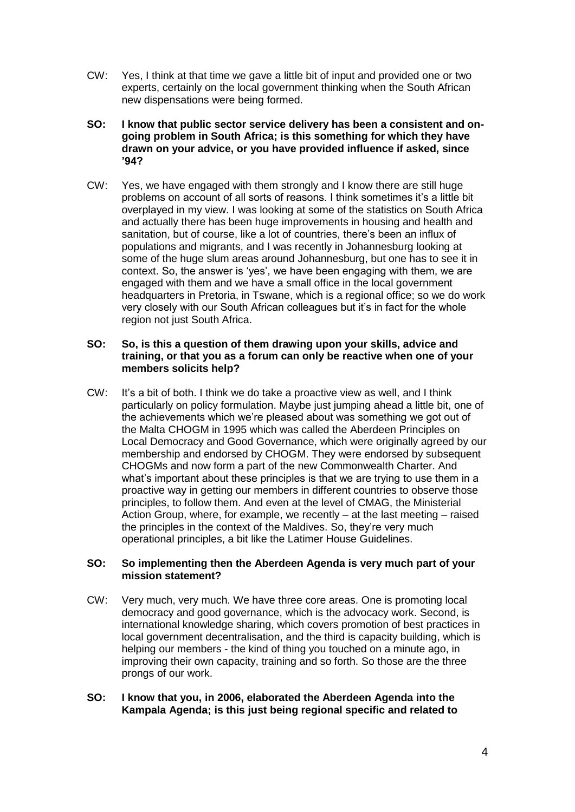- CW: Yes, I think at that time we gave a little bit of input and provided one or two experts, certainly on the local government thinking when the South African new dispensations were being formed.
- **SO: I know that public sector service delivery has been a consistent and ongoing problem in South Africa; is this something for which they have drawn on your advice, or you have provided influence if asked, since '94?**
- CW: Yes, we have engaged with them strongly and I know there are still huge problems on account of all sorts of reasons. I think sometimes it's a little bit overplayed in my view. I was looking at some of the statistics on South Africa and actually there has been huge improvements in housing and health and sanitation, but of course, like a lot of countries, there's been an influx of populations and migrants, and I was recently in Johannesburg looking at some of the huge slum areas around Johannesburg, but one has to see it in context. So, the answer is 'yes', we have been engaging with them, we are engaged with them and we have a small office in the local government headquarters in Pretoria, in Tswane, which is a regional office; so we do work very closely with our South African colleagues but it's in fact for the whole region not just South Africa.

# **SO: So, is this a question of them drawing upon your skills, advice and training, or that you as a forum can only be reactive when one of your members solicits help?**

CW: It's a bit of both. I think we do take a proactive view as well, and I think particularly on policy formulation. Maybe just jumping ahead a little bit, one of the achievements which we're pleased about was something we got out of the Malta CHOGM in 1995 which was called the Aberdeen Principles on Local Democracy and Good Governance, which were originally agreed by our membership and endorsed by CHOGM. They were endorsed by subsequent CHOGMs and now form a part of the new Commonwealth Charter. And what's important about these principles is that we are trying to use them in a proactive way in getting our members in different countries to observe those principles, to follow them. And even at the level of CMAG, the Ministerial Action Group, where, for example, we recently – at the last meeting – raised the principles in the context of the Maldives. So, they're very much operational principles, a bit like the Latimer House Guidelines.

# **SO: So implementing then the Aberdeen Agenda is very much part of your mission statement?**

- CW: Very much, very much. We have three core areas. One is promoting local democracy and good governance, which is the advocacy work. Second, is international knowledge sharing, which covers promotion of best practices in local government decentralisation, and the third is capacity building, which is helping our members - the kind of thing you touched on a minute ago, in improving their own capacity, training and so forth. So those are the three prongs of our work.
- **SO: I know that you, in 2006, elaborated the Aberdeen Agenda into the Kampala Agenda; is this just being regional specific and related to**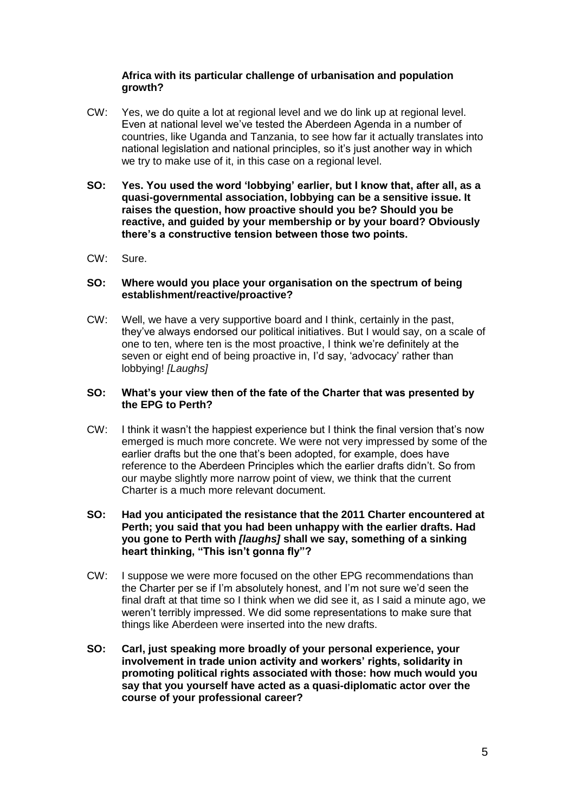# **Africa with its particular challenge of urbanisation and population growth?**

- CW: Yes, we do quite a lot at regional level and we do link up at regional level. Even at national level we've tested the Aberdeen Agenda in a number of countries, like Uganda and Tanzania, to see how far it actually translates into national legislation and national principles, so it's just another way in which we try to make use of it, in this case on a regional level.
- **SO: Yes. You used the word 'lobbying' earlier, but I know that, after all, as a quasi-governmental association, lobbying can be a sensitive issue. It raises the question, how proactive should you be? Should you be reactive, and guided by your membership or by your board? Obviously there's a constructive tension between those two points.**
- CW: Sure.

# **SO: Where would you place your organisation on the spectrum of being establishment/reactive/proactive?**

CW: Well, we have a very supportive board and I think, certainly in the past, they've always endorsed our political initiatives. But I would say, on a scale of one to ten, where ten is the most proactive, I think we're definitely at the seven or eight end of being proactive in, I'd say, 'advocacy' rather than lobbying! *[Laughs]*

# **SO: What's your view then of the fate of the Charter that was presented by the EPG to Perth?**

CW: I think it wasn't the happiest experience but I think the final version that's now emerged is much more concrete. We were not very impressed by some of the earlier drafts but the one that's been adopted, for example, does have reference to the Aberdeen Principles which the earlier drafts didn't. So from our maybe slightly more narrow point of view, we think that the current Charter is a much more relevant document.

# **SO: Had you anticipated the resistance that the 2011 Charter encountered at Perth; you said that you had been unhappy with the earlier drafts. Had you gone to Perth with** *[laughs]* **shall we say, something of a sinking heart thinking, "This isn't gonna fly"?**

- CW: I suppose we were more focused on the other EPG recommendations than the Charter per se if I'm absolutely honest, and I'm not sure we'd seen the final draft at that time so I think when we did see it, as I said a minute ago, we weren't terribly impressed. We did some representations to make sure that things like Aberdeen were inserted into the new drafts.
- **SO: Carl, just speaking more broadly of your personal experience, your involvement in trade union activity and workers' rights, solidarity in promoting political rights associated with those: how much would you say that you yourself have acted as a quasi-diplomatic actor over the course of your professional career?**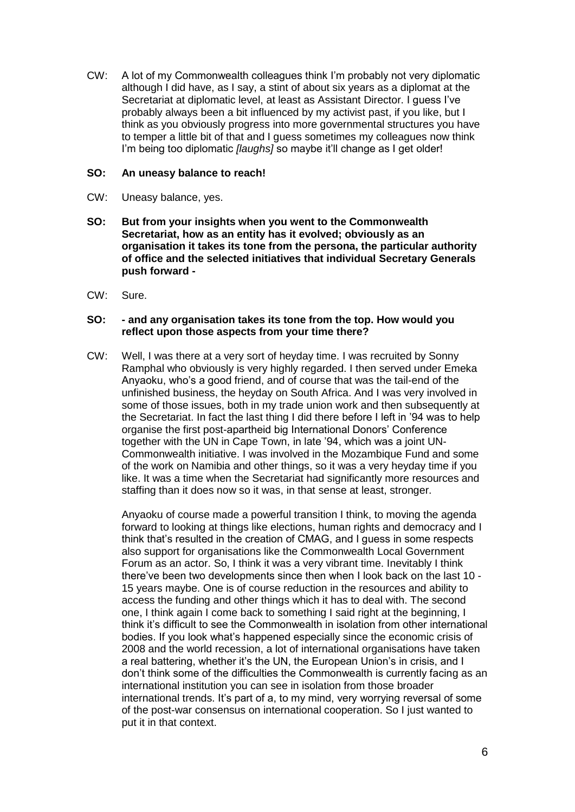CW: A lot of my Commonwealth colleagues think I'm probably not very diplomatic although I did have, as I say, a stint of about six years as a diplomat at the Secretariat at diplomatic level, at least as Assistant Director. I guess I've probably always been a bit influenced by my activist past, if you like, but I think as you obviously progress into more governmental structures you have to temper a little bit of that and I guess sometimes my colleagues now think I'm being too diplomatic *[laughs]* so maybe it'll change as I get older!

# **SO: An uneasy balance to reach!**

- CW: Uneasy balance, yes.
- **SO: But from your insights when you went to the Commonwealth Secretariat, how as an entity has it evolved; obviously as an organisation it takes its tone from the persona, the particular authority of office and the selected initiatives that individual Secretary Generals push forward -**
- CW: Sure.

# **SO: - and any organisation takes its tone from the top. How would you reflect upon those aspects from your time there?**

CW: Well, I was there at a very sort of heyday time. I was recruited by Sonny Ramphal who obviously is very highly regarded. I then served under Emeka Anyaoku, who's a good friend, and of course that was the tail-end of the unfinished business, the heyday on South Africa. And I was very involved in some of those issues, both in my trade union work and then subsequently at the Secretariat. In fact the last thing I did there before I left in '94 was to help organise the first post-apartheid big International Donors' Conference together with the UN in Cape Town, in late '94, which was a joint UN-Commonwealth initiative. I was involved in the Mozambique Fund and some of the work on Namibia and other things, so it was a very heyday time if you like. It was a time when the Secretariat had significantly more resources and staffing than it does now so it was, in that sense at least, stronger.

Anyaoku of course made a powerful transition I think, to moving the agenda forward to looking at things like elections, human rights and democracy and I think that's resulted in the creation of CMAG, and I guess in some respects also support for organisations like the Commonwealth Local Government Forum as an actor. So, I think it was a very vibrant time. Inevitably I think there've been two developments since then when I look back on the last 10 - 15 years maybe. One is of course reduction in the resources and ability to access the funding and other things which it has to deal with. The second one, I think again I come back to something I said right at the beginning, I think it's difficult to see the Commonwealth in isolation from other international bodies. If you look what's happened especially since the economic crisis of 2008 and the world recession, a lot of international organisations have taken a real battering, whether it's the UN, the European Union's in crisis, and I don't think some of the difficulties the Commonwealth is currently facing as an international institution you can see in isolation from those broader international trends. It's part of a, to my mind, very worrying reversal of some of the post-war consensus on international cooperation. So I just wanted to put it in that context.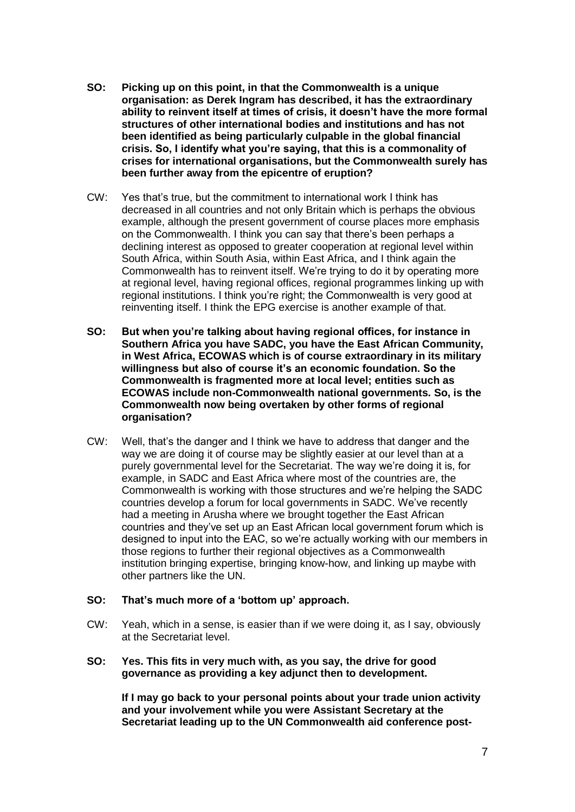- **SO: Picking up on this point, in that the Commonwealth is a unique organisation: as Derek Ingram has described, it has the extraordinary ability to reinvent itself at times of crisis, it doesn't have the more formal structures of other international bodies and institutions and has not been identified as being particularly culpable in the global financial crisis. So, I identify what you're saying, that this is a commonality of crises for international organisations, but the Commonwealth surely has been further away from the epicentre of eruption?**
- CW: Yes that's true, but the commitment to international work I think has decreased in all countries and not only Britain which is perhaps the obvious example, although the present government of course places more emphasis on the Commonwealth. I think you can say that there's been perhaps a declining interest as opposed to greater cooperation at regional level within South Africa, within South Asia, within East Africa, and I think again the Commonwealth has to reinvent itself. We're trying to do it by operating more at regional level, having regional offices, regional programmes linking up with regional institutions. I think you're right; the Commonwealth is very good at reinventing itself. I think the EPG exercise is another example of that.
- **SO: But when you're talking about having regional offices, for instance in Southern Africa you have SADC, you have the East African Community, in West Africa, ECOWAS which is of course extraordinary in its military willingness but also of course it's an economic foundation. So the Commonwealth is fragmented more at local level; entities such as ECOWAS include non-Commonwealth national governments. So, is the Commonwealth now being overtaken by other forms of regional organisation?**
- CW: Well, that's the danger and I think we have to address that danger and the way we are doing it of course may be slightly easier at our level than at a purely governmental level for the Secretariat. The way we're doing it is, for example, in SADC and East Africa where most of the countries are, the Commonwealth is working with those structures and we're helping the SADC countries develop a forum for local governments in SADC. We've recently had a meeting in Arusha where we brought together the East African countries and they've set up an East African local government forum which is designed to input into the EAC, so we're actually working with our members in those regions to further their regional objectives as a Commonwealth institution bringing expertise, bringing know-how, and linking up maybe with other partners like the UN.

#### **SO: That's much more of a 'bottom up' approach.**

- CW: Yeah, which in a sense, is easier than if we were doing it, as I say, obviously at the Secretariat level.
- **SO: Yes. This fits in very much with, as you say, the drive for good governance as providing a key adjunct then to development.**

**If I may go back to your personal points about your trade union activity and your involvement while you were Assistant Secretary at the Secretariat leading up to the UN Commonwealth aid conference post-**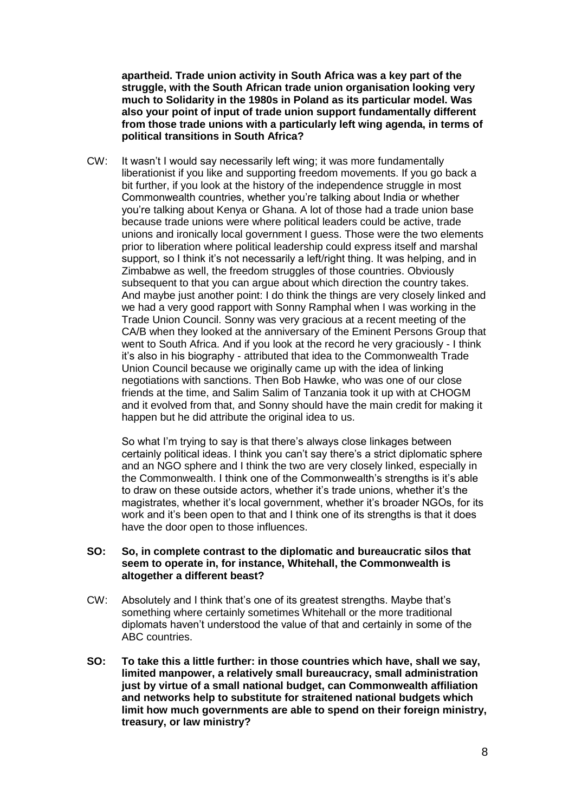**apartheid. Trade union activity in South Africa was a key part of the struggle, with the South African trade union organisation looking very much to Solidarity in the 1980s in Poland as its particular model. Was also your point of input of trade union support fundamentally different from those trade unions with a particularly left wing agenda, in terms of political transitions in South Africa?**

CW: It wasn't I would say necessarily left wing; it was more fundamentally liberationist if you like and supporting freedom movements. If you go back a bit further, if you look at the history of the independence struggle in most Commonwealth countries, whether you're talking about India or whether you're talking about Kenya or Ghana. A lot of those had a trade union base because trade unions were where political leaders could be active, trade unions and ironically local government I guess. Those were the two elements prior to liberation where political leadership could express itself and marshal support, so I think it's not necessarily a left/right thing. It was helping, and in Zimbabwe as well, the freedom struggles of those countries. Obviously subsequent to that you can argue about which direction the country takes. And maybe just another point: I do think the things are very closely linked and we had a very good rapport with Sonny Ramphal when I was working in the Trade Union Council. Sonny was very gracious at a recent meeting of the CA/B when they looked at the anniversary of the Eminent Persons Group that went to South Africa. And if you look at the record he very graciously - I think it's also in his biography - attributed that idea to the Commonwealth Trade Union Council because we originally came up with the idea of linking negotiations with sanctions. Then Bob Hawke, who was one of our close friends at the time, and Salim Salim of Tanzania took it up with at CHOGM and it evolved from that, and Sonny should have the main credit for making it happen but he did attribute the original idea to us.

So what I'm trying to say is that there's always close linkages between certainly political ideas. I think you can't say there's a strict diplomatic sphere and an NGO sphere and I think the two are very closely linked, especially in the Commonwealth. I think one of the Commonwealth's strengths is it's able to draw on these outside actors, whether it's trade unions, whether it's the magistrates, whether it's local government, whether it's broader NGOs, for its work and it's been open to that and I think one of its strengths is that it does have the door open to those influences.

#### **SO: So, in complete contrast to the diplomatic and bureaucratic silos that seem to operate in, for instance, Whitehall, the Commonwealth is altogether a different beast?**

- CW: Absolutely and I think that's one of its greatest strengths. Maybe that's something where certainly sometimes Whitehall or the more traditional diplomats haven't understood the value of that and certainly in some of the ABC countries.
- **SO: To take this a little further: in those countries which have, shall we say, limited manpower, a relatively small bureaucracy, small administration just by virtue of a small national budget, can Commonwealth affiliation and networks help to substitute for straitened national budgets which limit how much governments are able to spend on their foreign ministry, treasury, or law ministry?**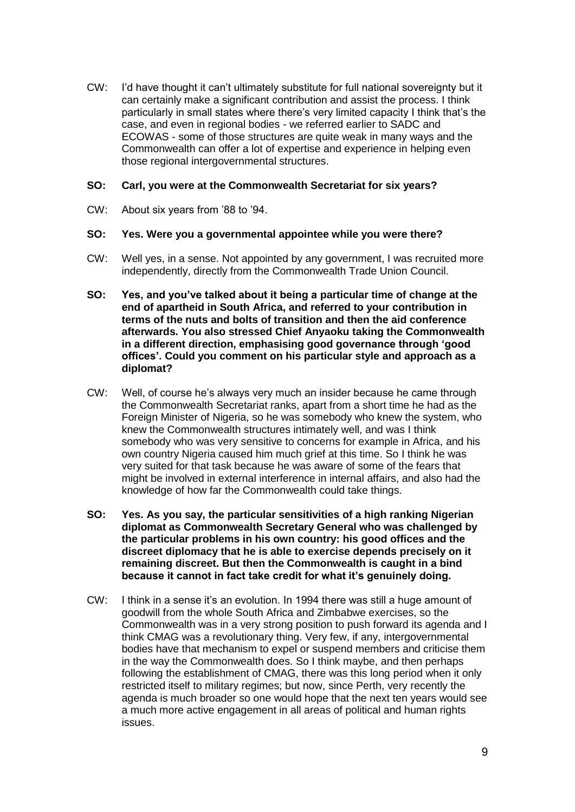CW: I'd have thought it can't ultimately substitute for full national sovereignty but it can certainly make a significant contribution and assist the process. I think particularly in small states where there's very limited capacity I think that's the case, and even in regional bodies - we referred earlier to SADC and ECOWAS - some of those structures are quite weak in many ways and the Commonwealth can offer a lot of expertise and experience in helping even those regional intergovernmental structures.

# **SO: Carl, you were at the Commonwealth Secretariat for six years?**

CW: About six years from '88 to '94.

# **SO: Yes. Were you a governmental appointee while you were there?**

- CW: Well yes, in a sense. Not appointed by any government, I was recruited more independently, directly from the Commonwealth Trade Union Council.
- **SO: Yes, and you've talked about it being a particular time of change at the end of apartheid in South Africa, and referred to your contribution in terms of the nuts and bolts of transition and then the aid conference afterwards. You also stressed Chief Anyaoku taking the Commonwealth in a different direction, emphasising good governance through 'good offices'. Could you comment on his particular style and approach as a diplomat?**
- CW: Well, of course he's always very much an insider because he came through the Commonwealth Secretariat ranks, apart from a short time he had as the Foreign Minister of Nigeria, so he was somebody who knew the system, who knew the Commonwealth structures intimately well, and was I think somebody who was very sensitive to concerns for example in Africa, and his own country Nigeria caused him much grief at this time. So I think he was very suited for that task because he was aware of some of the fears that might be involved in external interference in internal affairs, and also had the knowledge of how far the Commonwealth could take things.
- **SO: Yes. As you say, the particular sensitivities of a high ranking Nigerian diplomat as Commonwealth Secretary General who was challenged by the particular problems in his own country: his good offices and the discreet diplomacy that he is able to exercise depends precisely on it remaining discreet. But then the Commonwealth is caught in a bind because it cannot in fact take credit for what it's genuinely doing.**
- CW: I think in a sense it's an evolution. In 1994 there was still a huge amount of goodwill from the whole South Africa and Zimbabwe exercises, so the Commonwealth was in a very strong position to push forward its agenda and I think CMAG was a revolutionary thing. Very few, if any, intergovernmental bodies have that mechanism to expel or suspend members and criticise them in the way the Commonwealth does. So I think maybe, and then perhaps following the establishment of CMAG, there was this long period when it only restricted itself to military regimes; but now, since Perth, very recently the agenda is much broader so one would hope that the next ten years would see a much more active engagement in all areas of political and human rights issues.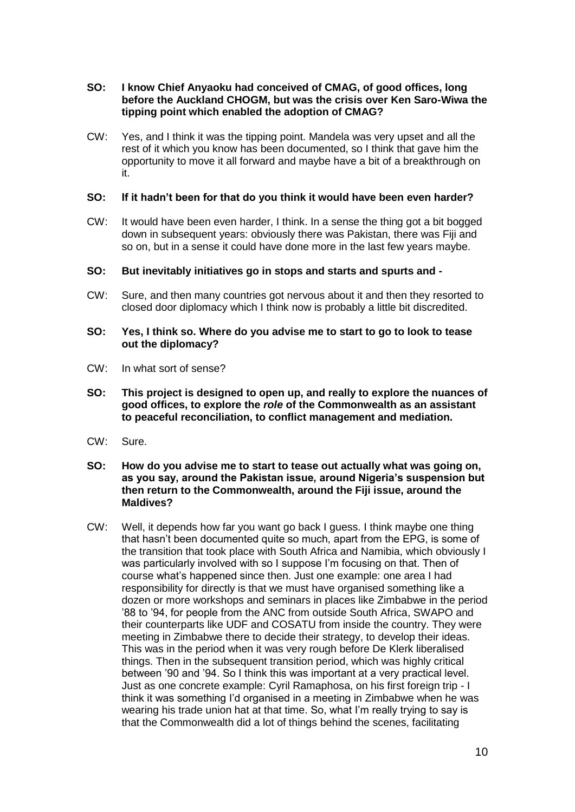# **SO: I know Chief Anyaoku had conceived of CMAG, of good offices, long before the Auckland CHOGM, but was the crisis over Ken Saro-Wiwa the tipping point which enabled the adoption of CMAG?**

CW: Yes, and I think it was the tipping point. Mandela was very upset and all the rest of it which you know has been documented, so I think that gave him the opportunity to move it all forward and maybe have a bit of a breakthrough on it.

# **SO: If it hadn't been for that do you think it would have been even harder?**

CW: It would have been even harder, I think. In a sense the thing got a bit bogged down in subsequent years: obviously there was Pakistan, there was Fiji and so on, but in a sense it could have done more in the last few years maybe.

# **SO: But inevitably initiatives go in stops and starts and spurts and -**

CW: Sure, and then many countries got nervous about it and then they resorted to closed door diplomacy which I think now is probably a little bit discredited.

# **SO: Yes, I think so. Where do you advise me to start to go to look to tease out the diplomacy?**

- CW: In what sort of sense?
- **SO: This project is designed to open up, and really to explore the nuances of good offices, to explore the** *role* **of the Commonwealth as an assistant to peaceful reconciliation, to conflict management and mediation.**
- CW: Sure.
- **SO: How do you advise me to start to tease out actually what was going on, as you say, around the Pakistan issue, around Nigeria's suspension but then return to the Commonwealth, around the Fiji issue, around the Maldives?**
- CW: Well, it depends how far you want go back I guess. I think maybe one thing that hasn't been documented quite so much, apart from the EPG, is some of the transition that took place with South Africa and Namibia, which obviously I was particularly involved with so I suppose I'm focusing on that. Then of course what's happened since then. Just one example: one area I had responsibility for directly is that we must have organised something like a dozen or more workshops and seminars in places like Zimbabwe in the period '88 to '94, for people from the ANC from outside South Africa, SWAPO and their counterparts like UDF and COSATU from inside the country. They were meeting in Zimbabwe there to decide their strategy, to develop their ideas. This was in the period when it was very rough before De Klerk liberalised things. Then in the subsequent transition period, which was highly critical between '90 and '94. So I think this was important at a very practical level. Just as one concrete example: Cyril Ramaphosa, on his first foreign trip - I think it was something I'd organised in a meeting in Zimbabwe when he was wearing his trade union hat at that time. So, what I'm really trying to say is that the Commonwealth did a lot of things behind the scenes, facilitating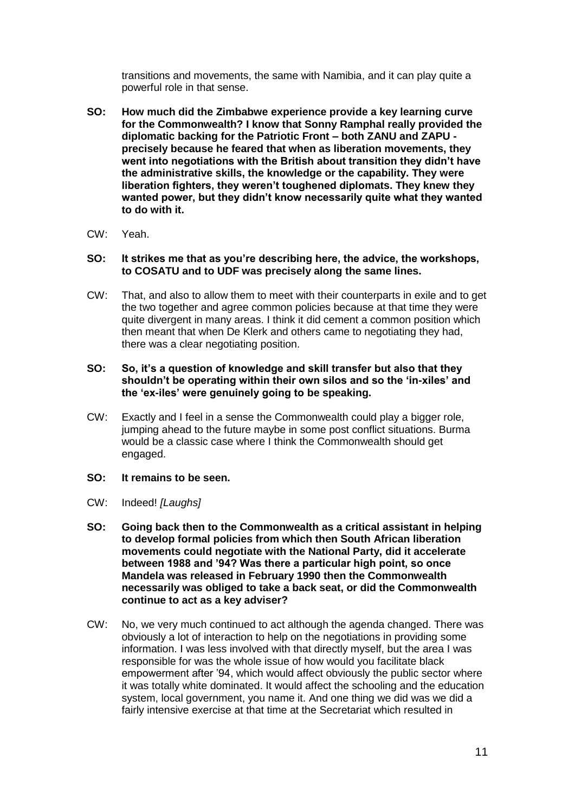transitions and movements, the same with Namibia, and it can play quite a powerful role in that sense.

- **SO: How much did the Zimbabwe experience provide a key learning curve for the Commonwealth? I know that Sonny Ramphal really provided the diplomatic backing for the Patriotic Front – both ZANU and ZAPU precisely because he feared that when as liberation movements, they went into negotiations with the British about transition they didn't have the administrative skills, the knowledge or the capability. They were liberation fighters, they weren't toughened diplomats. They knew they wanted power, but they didn't know necessarily quite what they wanted to do with it.**
- CW: Yeah.
- **SO: It strikes me that as you're describing here, the advice, the workshops, to COSATU and to UDF was precisely along the same lines.**
- CW: That, and also to allow them to meet with their counterparts in exile and to get the two together and agree common policies because at that time they were quite divergent in many areas. I think it did cement a common position which then meant that when De Klerk and others came to negotiating they had, there was a clear negotiating position.

# **SO: So, it's a question of knowledge and skill transfer but also that they shouldn't be operating within their own silos and so the 'in-xiles' and the 'ex-iles' were genuinely going to be speaking.**

CW: Exactly and I feel in a sense the Commonwealth could play a bigger role, jumping ahead to the future maybe in some post conflict situations. Burma would be a classic case where I think the Commonwealth should get engaged.

# **SO: It remains to be seen.**

- CW: Indeed! *[Laughs]*
- **SO: Going back then to the Commonwealth as a critical assistant in helping to develop formal policies from which then South African liberation movements could negotiate with the National Party, did it accelerate between 1988 and '94? Was there a particular high point, so once Mandela was released in February 1990 then the Commonwealth necessarily was obliged to take a back seat, or did the Commonwealth continue to act as a key adviser?**
- CW: No, we very much continued to act although the agenda changed. There was obviously a lot of interaction to help on the negotiations in providing some information. I was less involved with that directly myself, but the area I was responsible for was the whole issue of how would you facilitate black empowerment after '94, which would affect obviously the public sector where it was totally white dominated. It would affect the schooling and the education system, local government, you name it. And one thing we did was we did a fairly intensive exercise at that time at the Secretariat which resulted in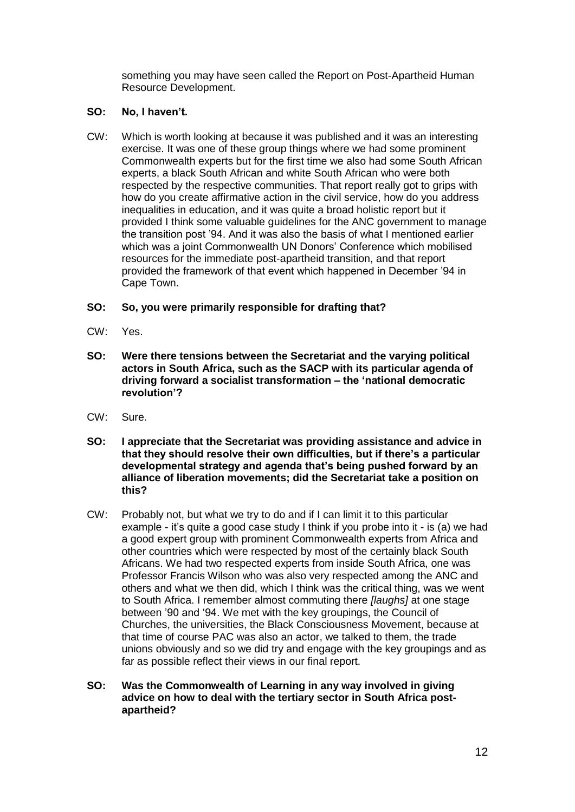something you may have seen called the Report on Post-Apartheid Human Resource Development.

# **SO: No, I haven't.**

CW: Which is worth looking at because it was published and it was an interesting exercise. It was one of these group things where we had some prominent Commonwealth experts but for the first time we also had some South African experts, a black South African and white South African who were both respected by the respective communities. That report really got to grips with how do you create affirmative action in the civil service, how do you address inequalities in education, and it was quite a broad holistic report but it provided I think some valuable guidelines for the ANC government to manage the transition post '94. And it was also the basis of what I mentioned earlier which was a joint Commonwealth UN Donors' Conference which mobilised resources for the immediate post-apartheid transition, and that report provided the framework of that event which happened in December '94 in Cape Town.

# **SO: So, you were primarily responsible for drafting that?**

- CW: Yes.
- **SO: Were there tensions between the Secretariat and the varying political actors in South Africa, such as the SACP with its particular agenda of driving forward a socialist transformation – the 'national democratic revolution'?**
- CW: Sure.
- **SO: I appreciate that the Secretariat was providing assistance and advice in that they should resolve their own difficulties, but if there's a particular developmental strategy and agenda that's being pushed forward by an alliance of liberation movements; did the Secretariat take a position on this?**
- CW: Probably not, but what we try to do and if I can limit it to this particular example - it's quite a good case study I think if you probe into it - is (a) we had a good expert group with prominent Commonwealth experts from Africa and other countries which were respected by most of the certainly black South Africans. We had two respected experts from inside South Africa, one was Professor Francis Wilson who was also very respected among the ANC and others and what we then did, which I think was the critical thing, was we went to South Africa. I remember almost commuting there *[laughs]* at one stage between '90 and '94. We met with the key groupings, the Council of Churches, the universities, the Black Consciousness Movement, because at that time of course PAC was also an actor, we talked to them, the trade unions obviously and so we did try and engage with the key groupings and as far as possible reflect their views in our final report.
- **SO: Was the Commonwealth of Learning in any way involved in giving advice on how to deal with the tertiary sector in South Africa postapartheid?**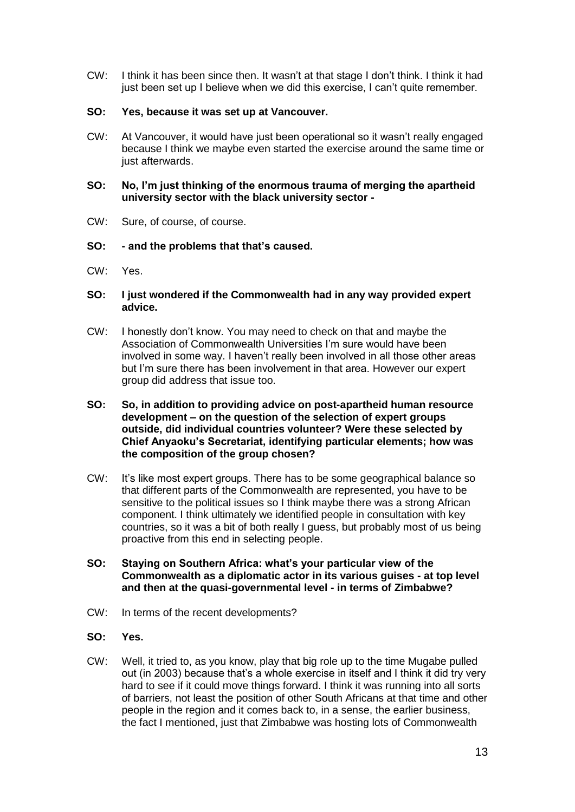CW: I think it has been since then. It wasn't at that stage I don't think. I think it had just been set up I believe when we did this exercise, I can't quite remember.

# **SO: Yes, because it was set up at Vancouver.**

CW: At Vancouver, it would have just been operational so it wasn't really engaged because I think we maybe even started the exercise around the same time or just afterwards.

# **SO: No, I'm just thinking of the enormous trauma of merging the apartheid university sector with the black university sector -**

CW: Sure, of course, of course.

# **SO: - and the problems that that's caused.**

CW: Yes.

# **SO: I just wondered if the Commonwealth had in any way provided expert advice.**

- CW: I honestly don't know. You may need to check on that and maybe the Association of Commonwealth Universities I'm sure would have been involved in some way. I haven't really been involved in all those other areas but I'm sure there has been involvement in that area. However our expert group did address that issue too.
- **SO: So, in addition to providing advice on post-apartheid human resource development – on the question of the selection of expert groups outside, did individual countries volunteer? Were these selected by Chief Anyaoku's Secretariat, identifying particular elements; how was the composition of the group chosen?**
- CW: It's like most expert groups. There has to be some geographical balance so that different parts of the Commonwealth are represented, you have to be sensitive to the political issues so I think maybe there was a strong African component. I think ultimately we identified people in consultation with key countries, so it was a bit of both really I guess, but probably most of us being proactive from this end in selecting people.
- **SO: Staying on Southern Africa: what's your particular view of the Commonwealth as a diplomatic actor in its various guises - at top level and then at the quasi-governmental level - in terms of Zimbabwe?**
- CW: In terms of the recent developments?
- **SO: Yes.**
- CW: Well, it tried to, as you know, play that big role up to the time Mugabe pulled out (in 2003) because that's a whole exercise in itself and I think it did try very hard to see if it could move things forward. I think it was running into all sorts of barriers, not least the position of other South Africans at that time and other people in the region and it comes back to, in a sense, the earlier business, the fact I mentioned, just that Zimbabwe was hosting lots of Commonwealth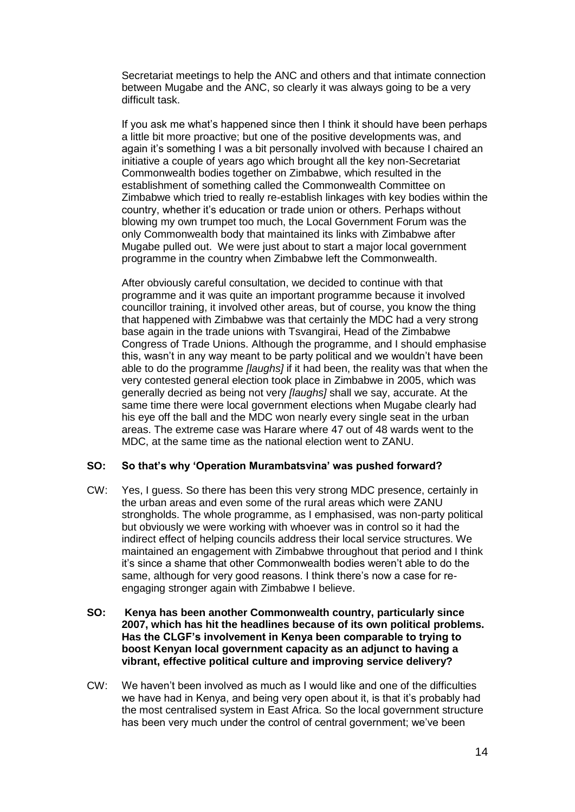Secretariat meetings to help the ANC and others and that intimate connection between Mugabe and the ANC, so clearly it was always going to be a very difficult task.

If you ask me what's happened since then I think it should have been perhaps a little bit more proactive; but one of the positive developments was, and again it's something I was a bit personally involved with because I chaired an initiative a couple of years ago which brought all the key non-Secretariat Commonwealth bodies together on Zimbabwe, which resulted in the establishment of something called the Commonwealth Committee on Zimbabwe which tried to really re-establish linkages with key bodies within the country, whether it's education or trade union or others. Perhaps without blowing my own trumpet too much, the Local Government Forum was the only Commonwealth body that maintained its links with Zimbabwe after Mugabe pulled out. We were just about to start a major local government programme in the country when Zimbabwe left the Commonwealth.

After obviously careful consultation, we decided to continue with that programme and it was quite an important programme because it involved councillor training, it involved other areas, but of course, you know the thing that happened with Zimbabwe was that certainly the MDC had a very strong base again in the trade unions with Tsvangirai, Head of the Zimbabwe Congress of Trade Unions. Although the programme, and I should emphasise this, wasn't in any way meant to be party political and we wouldn't have been able to do the programme *[laughs]* if it had been, the reality was that when the very contested general election took place in Zimbabwe in 2005, which was generally decried as being not very *[laughs]* shall we say, accurate. At the same time there were local government elections when Mugabe clearly had his eye off the ball and the MDC won nearly every single seat in the urban areas. The extreme case was Harare where 47 out of 48 wards went to the MDC, at the same time as the national election went to ZANU.

# **SO: So that's why 'Operation Murambatsvina' was pushed forward?**

- CW: Yes, I guess. So there has been this very strong MDC presence, certainly in the urban areas and even some of the rural areas which were ZANU strongholds. The whole programme, as I emphasised, was non-party political but obviously we were working with whoever was in control so it had the indirect effect of helping councils address their local service structures. We maintained an engagement with Zimbabwe throughout that period and I think it's since a shame that other Commonwealth bodies weren't able to do the same, although for very good reasons. I think there's now a case for reengaging stronger again with Zimbabwe I believe.
- **SO: Kenya has been another Commonwealth country, particularly since 2007, which has hit the headlines because of its own political problems. Has the CLGF's involvement in Kenya been comparable to trying to boost Kenyan local government capacity as an adjunct to having a vibrant, effective political culture and improving service delivery?**
- CW: We haven't been involved as much as I would like and one of the difficulties we have had in Kenya, and being very open about it, is that it's probably had the most centralised system in East Africa. So the local government structure has been very much under the control of central government; we've been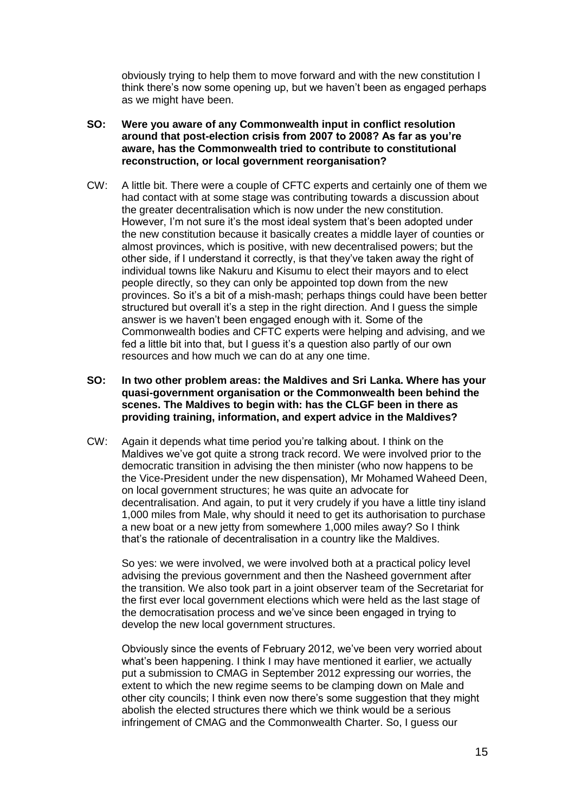obviously trying to help them to move forward and with the new constitution I think there's now some opening up, but we haven't been as engaged perhaps as we might have been.

- **SO: Were you aware of any Commonwealth input in conflict resolution around that post-election crisis from 2007 to 2008? As far as you're aware, has the Commonwealth tried to contribute to constitutional reconstruction, or local government reorganisation?**
- CW: A little bit. There were a couple of CFTC experts and certainly one of them we had contact with at some stage was contributing towards a discussion about the greater decentralisation which is now under the new constitution. However, I'm not sure it's the most ideal system that's been adopted under the new constitution because it basically creates a middle layer of counties or almost provinces, which is positive, with new decentralised powers; but the other side, if I understand it correctly, is that they've taken away the right of individual towns like Nakuru and Kisumu to elect their mayors and to elect people directly, so they can only be appointed top down from the new provinces. So it's a bit of a mish-mash; perhaps things could have been better structured but overall it's a step in the right direction. And I guess the simple answer is we haven't been engaged enough with it. Some of the Commonwealth bodies and CFTC experts were helping and advising, and we fed a little bit into that, but I guess it's a question also partly of our own resources and how much we can do at any one time.
- **SO: In two other problem areas: the Maldives and Sri Lanka. Where has your quasi-government organisation or the Commonwealth been behind the scenes. The Maldives to begin with: has the CLGF been in there as providing training, information, and expert advice in the Maldives?**
- CW: Again it depends what time period you're talking about. I think on the Maldives we've got quite a strong track record. We were involved prior to the democratic transition in advising the then minister (who now happens to be the Vice-President under the new dispensation), Mr Mohamed Waheed Deen, on local government structures; he was quite an advocate for decentralisation. And again, to put it very crudely if you have a little tiny island 1,000 miles from Male, why should it need to get its authorisation to purchase a new boat or a new jetty from somewhere 1,000 miles away? So I think that's the rationale of decentralisation in a country like the Maldives.

So yes: we were involved, we were involved both at a practical policy level advising the previous government and then the Nasheed government after the transition. We also took part in a joint observer team of the Secretariat for the first ever local government elections which were held as the last stage of the democratisation process and we've since been engaged in trying to develop the new local government structures.

Obviously since the events of February 2012, we've been very worried about what's been happening. I think I may have mentioned it earlier, we actually put a submission to CMAG in September 2012 expressing our worries, the extent to which the new regime seems to be clamping down on Male and other city councils; I think even now there's some suggestion that they might abolish the elected structures there which we think would be a serious infringement of CMAG and the Commonwealth Charter. So, I guess our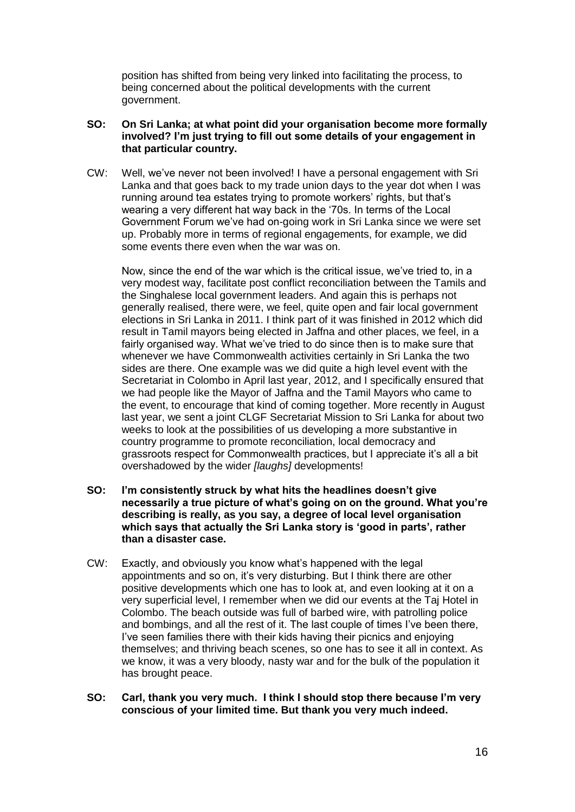position has shifted from being very linked into facilitating the process, to being concerned about the political developments with the current government.

# **SO: On Sri Lanka; at what point did your organisation become more formally involved? I'm just trying to fill out some details of your engagement in that particular country.**

CW: Well, we've never not been involved! I have a personal engagement with Sri Lanka and that goes back to my trade union days to the year dot when I was running around tea estates trying to promote workers' rights, but that's wearing a very different hat way back in the '70s. In terms of the Local Government Forum we've had on-going work in Sri Lanka since we were set up. Probably more in terms of regional engagements, for example, we did some events there even when the war was on.

Now, since the end of the war which is the critical issue, we've tried to, in a very modest way, facilitate post conflict reconciliation between the Tamils and the Singhalese local government leaders. And again this is perhaps not generally realised, there were, we feel, quite open and fair local government elections in Sri Lanka in 2011. I think part of it was finished in 2012 which did result in Tamil mayors being elected in Jaffna and other places, we feel, in a fairly organised way. What we've tried to do since then is to make sure that whenever we have Commonwealth activities certainly in Sri Lanka the two sides are there. One example was we did quite a high level event with the Secretariat in Colombo in April last year, 2012, and I specifically ensured that we had people like the Mayor of Jaffna and the Tamil Mayors who came to the event, to encourage that kind of coming together. More recently in August last year, we sent a joint CLGF Secretariat Mission to Sri Lanka for about two weeks to look at the possibilities of us developing a more substantive in country programme to promote reconciliation, local democracy and grassroots respect for Commonwealth practices, but I appreciate it's all a bit overshadowed by the wider *[laughs]* developments!

- **SO: I'm consistently struck by what hits the headlines doesn't give necessarily a true picture of what's going on on the ground. What you're describing is really, as you say, a degree of local level organisation which says that actually the Sri Lanka story is 'good in parts', rather than a disaster case.**
- CW: Exactly, and obviously you know what's happened with the legal appointments and so on, it's very disturbing. But I think there are other positive developments which one has to look at, and even looking at it on a very superficial level, I remember when we did our events at the Taj Hotel in Colombo. The beach outside was full of barbed wire, with patrolling police and bombings, and all the rest of it. The last couple of times I've been there, I've seen families there with their kids having their picnics and enjoying themselves; and thriving beach scenes, so one has to see it all in context. As we know, it was a very bloody, nasty war and for the bulk of the population it has brought peace.
- **SO: Carl, thank you very much. I think I should stop there because I'm very conscious of your limited time. But thank you very much indeed.**